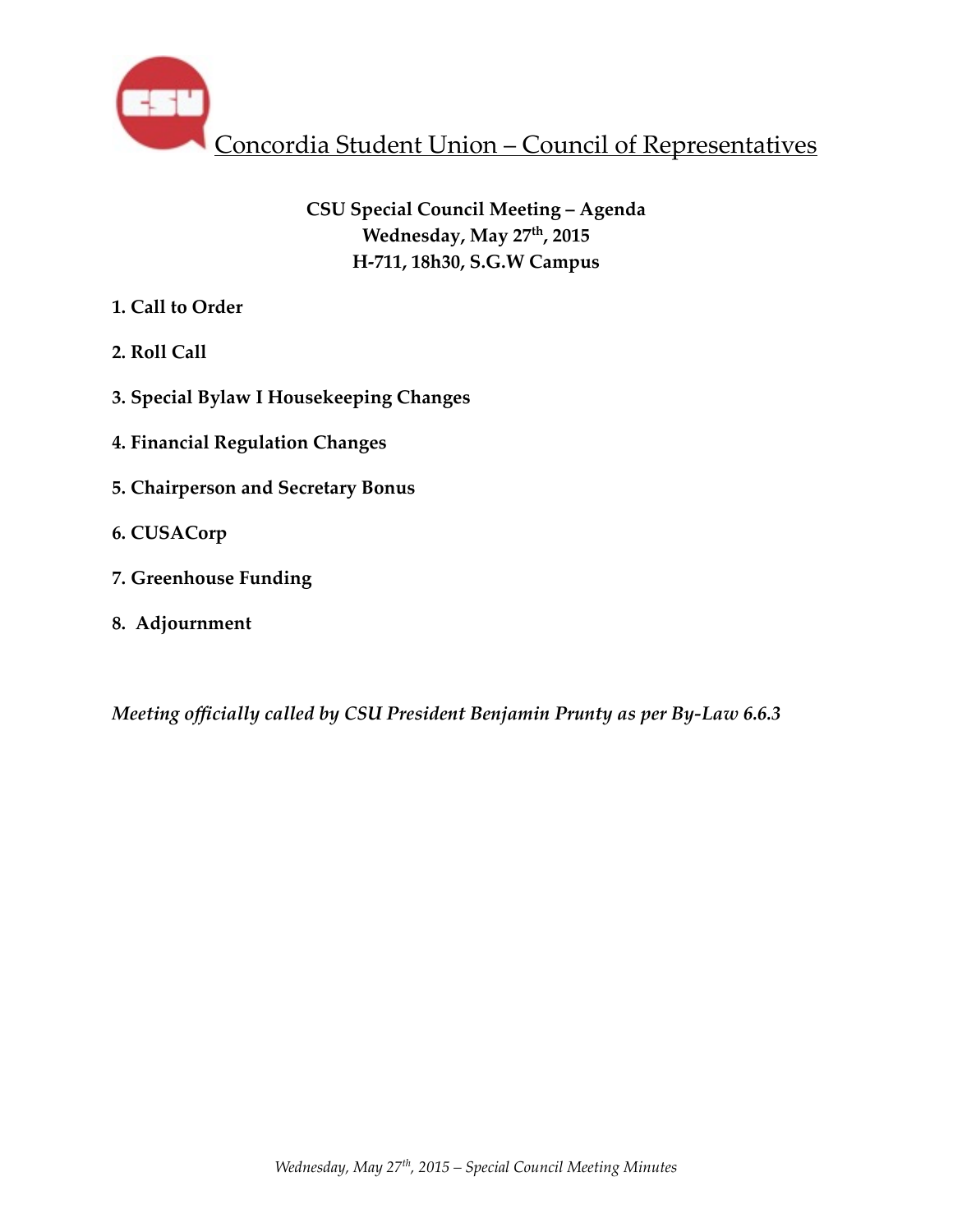

# **CSU Special Council Meeting – Agenda Wednesday, May 27th, 2015 H-711, 18h30, S.G.W Campus**

- **1. Call to Order**
- **2. Roll Call**
- **3. Special Bylaw I Housekeeping Changes**
- **4. Financial Regulation Changes**
- **5. Chairperson and Secretary Bonus**
- **6. CUSACorp**
- **7. Greenhouse Funding**
- **8. Adjournment**

*Meeting officially called by CSU President Benjamin Prunty as per By-Law 6.6.3*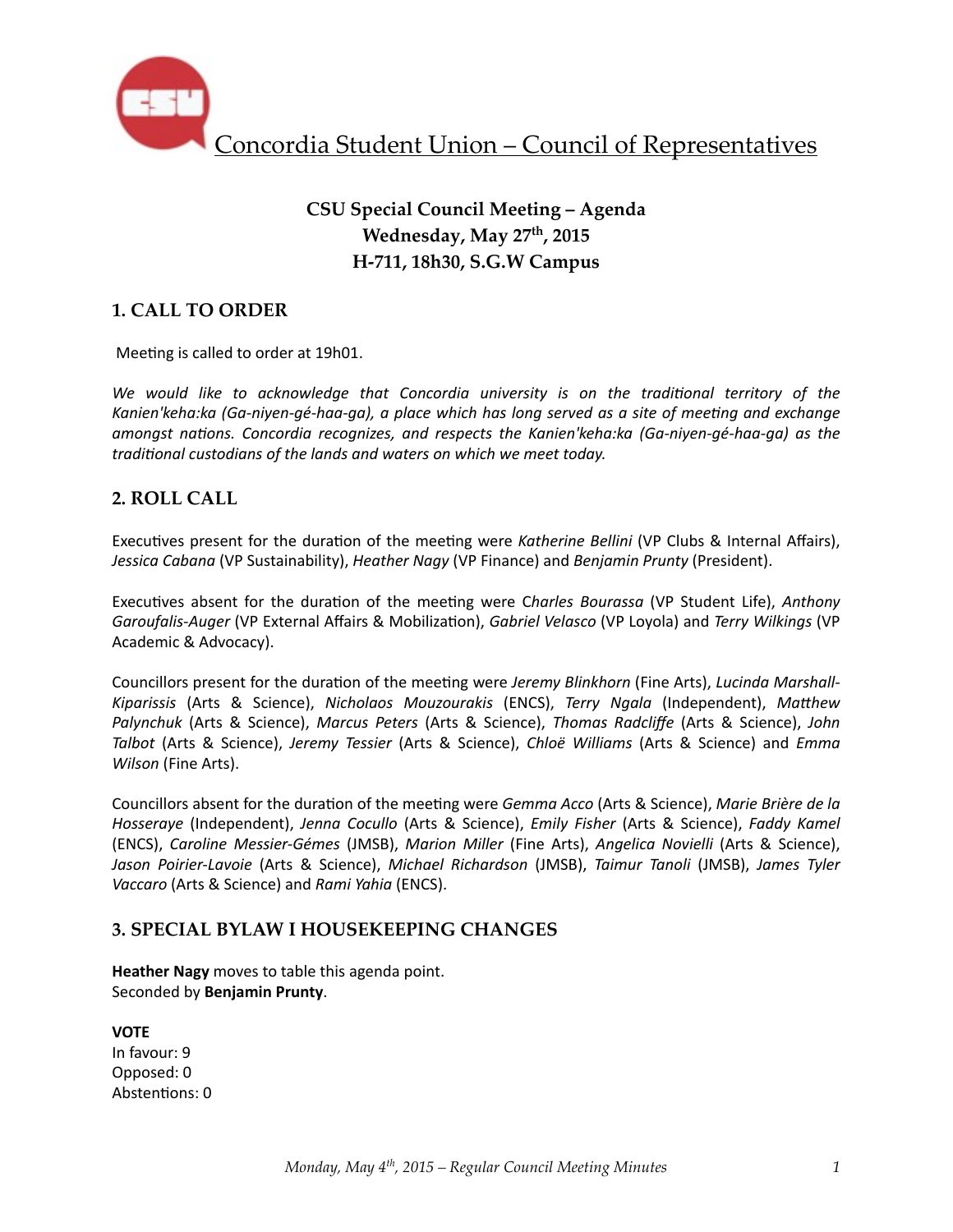

# **CSU Special Council Meeting – Agenda Wednesday, May 27th, 2015 H-711, 18h30, S.G.W Campus**

## **1. CALL TO ORDER**

Meeting is called to order at 19h01.

We would like to acknowledge that Concordia university is on the traditional territory of the Kanien'keha:ka (Ga-niyen-gé-haa-ga), a place which has long served as a site of meeting and exchange *amongst nations. Concordia recognizes, and respects the Kanien'keha:ka (Ga-niyen-gé-haa-ga)* as the traditional custodians of the lands and waters on which we meet today.

## **2. ROLL CALL**

Executives present for the duration of the meeting were *Katherine Bellini* (VP Clubs & Internal Affairs), *Jessica Cabana* (VP Sustainability), *Heather Nagy* (VP Finance) and *Benjamin Prunty* (President).

Executives absent for the duration of the meeting were Charles Bourassa (VP Student Life), Anthony *Garoufalis-Auger* (VP External Affairs & Mobilization), *Gabriel Velasco* (VP Loyola) and *Terry Wilkings* (VP Academic & Advocacy).

Councillors present for the duration of the meeting were Jeremy Blinkhorn (Fine Arts), Lucinda Marshall-*Kiparissis* (Arts & Science), *Nicholaos Mouzourakis* (ENCS), *Terry Ngala* (Independent), *Matthew Palynchuk*  (Arts & Science), *Marcus Peters*  (Arts & Science), *Thomas Radcliffe*  (Arts & Science), *John Talbot*  (Arts & Science), *Jeremy Tessier*  (Arts & Science), *Chloë Williams*  (Arts & Science) and *Emma Wilson* (Fine Arts).

Councillors absent for the duration of the meeting were *Gemma Acco* (Arts & Science), *Marie Brière de la Hosseraye* (Independent), Jenna Cocullo (Arts & Science), *Emily Fisher* (Arts & Science), *Faddy Kamel* (ENCS), *Caroline Messier-Gémes*  (JMSB), *Marion Miller*  (Fine Arts), *Angelica Novielli*  (Arts & Science), *Jason Poirier-Lavoie* (Arts & Science), *Michael Richardson*  (JMSB), *Taimur Tanoli*  (JMSB), *James Tyler Vaccaro* (Arts & Science) and *Rami Yahia* (ENCS).

## **3. SPECIAL BYLAW I HOUSEKEEPING CHANGES**

**Heather Nagy** moves to table this agenda point. Seconded by **Benjamin Prunty**. 

**VOTE** In favour: 9 Opposed: 0 Abstentions: 0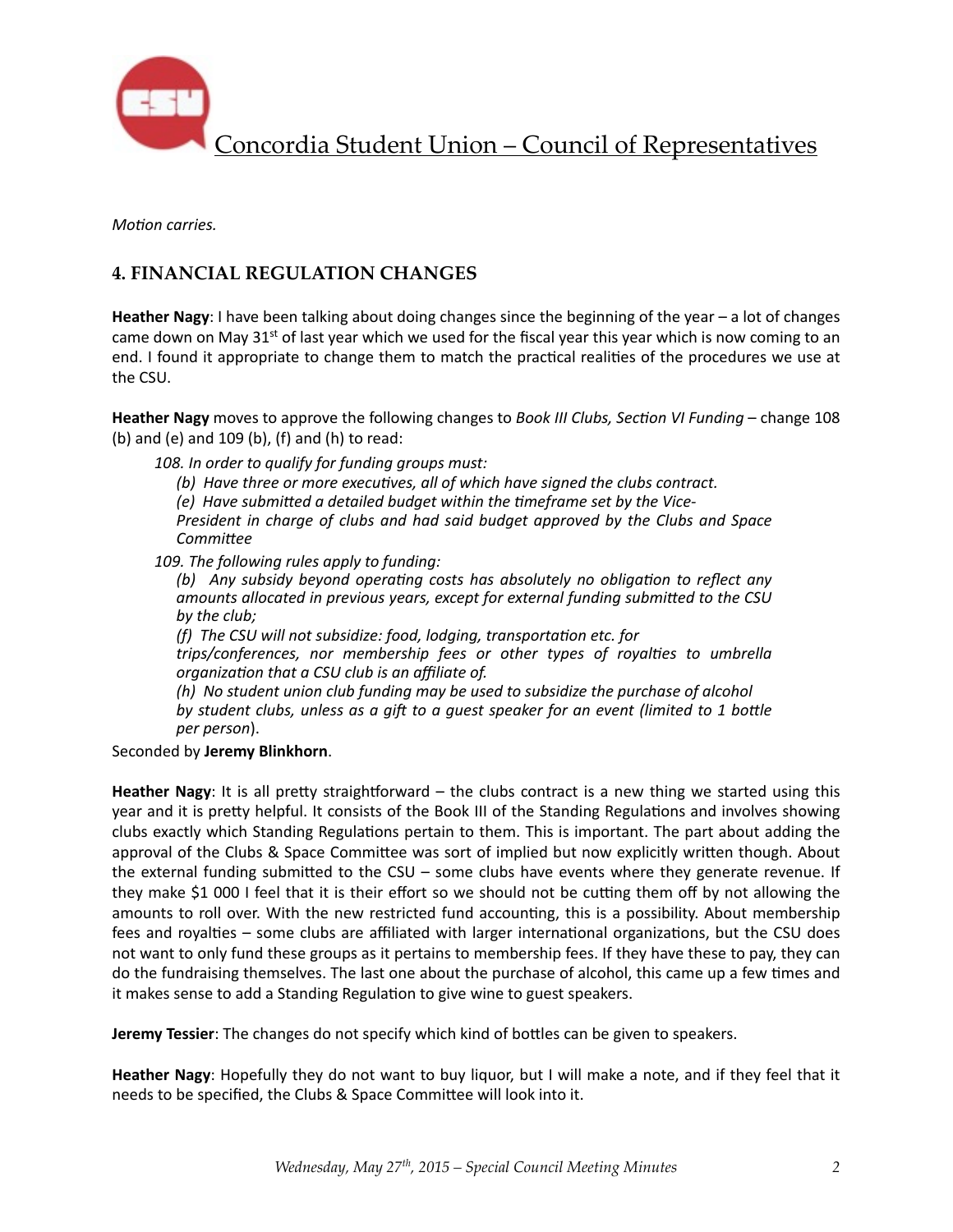

*Motion carries.* 

## **4. FINANCIAL REGULATION CHANGES**

**Heather Nagy**: I have been talking about doing changes since the beginning of the year – a lot of changes came down on May 31<sup>st</sup> of last year which we used for the fiscal year this year which is now coming to an end. I found it appropriate to change them to match the practical realities of the procedures we use at the CSU.

**Heather Nagy** moves to approve the following changes to *Book III Clubs, Section VI Funding* – change 108 (b) and (e) and  $109$  (b), (f) and (h) to read:

108. In order to qualify for funding groups must:

(b) Have three or more executives, all of which have signed the clubs contract.

*(e)* Have submitted a detailed budget within the timeframe set by the Vice-

*President in charge of clubs and had said budget approved by the Clubs and Space CommiRee*

109. The following rules apply to funding:

*(b)* Any subsidy beyond operating costs has absolutely no obligation to reflect any amounts allocated in previous years, except for external funding submitted to the CSU by the club:

*(f)* The CSU will not subsidize: food, lodging, transportation etc. for

*trips/conferences, nor membership fees or other types of royalties to umbrella organization that a CSU club is an affiliate of.* 

*(h)* No student union club funding may be used to subsidize the purchase of alcohol *by* student clubs, unless as a gift to a guest speaker for an event (limited to 1 bottle *per person*). 

Seconded by **Jeremy Blinkhorn**. 

**Heather Nagy**: It is all pretty straightforward – the clubs contract is a new thing we started using this year and it is pretty helpful. It consists of the Book III of the Standing Regulations and involves showing clubs exactly which Standing Regulations pertain to them. This is important. The part about adding the approval of the Clubs & Space Committee was sort of implied but now explicitly written though. About the external funding submitted to the CSU – some clubs have events where they generate revenue. If they make \$1 000 I feel that it is their effort so we should not be cutting them off by not allowing the amounts to roll over. With the new restricted fund accounting, this is a possibility. About membership fees and royalties  $-$  some clubs are affiliated with larger international organizations, but the CSU does not want to only fund these groups as it pertains to membership fees. If they have these to pay, they can do the fundraising themselves. The last one about the purchase of alcohol, this came up a few times and it makes sense to add a Standing Regulation to give wine to guest speakers.

**Jeremy Tessier**: The changes do not specify which kind of bottles can be given to speakers.

**Heather Nagy**: Hopefully they do not want to buy liquor, but I will make a note, and if they feel that it needs to be specified, the Clubs & Space Committee will look into it.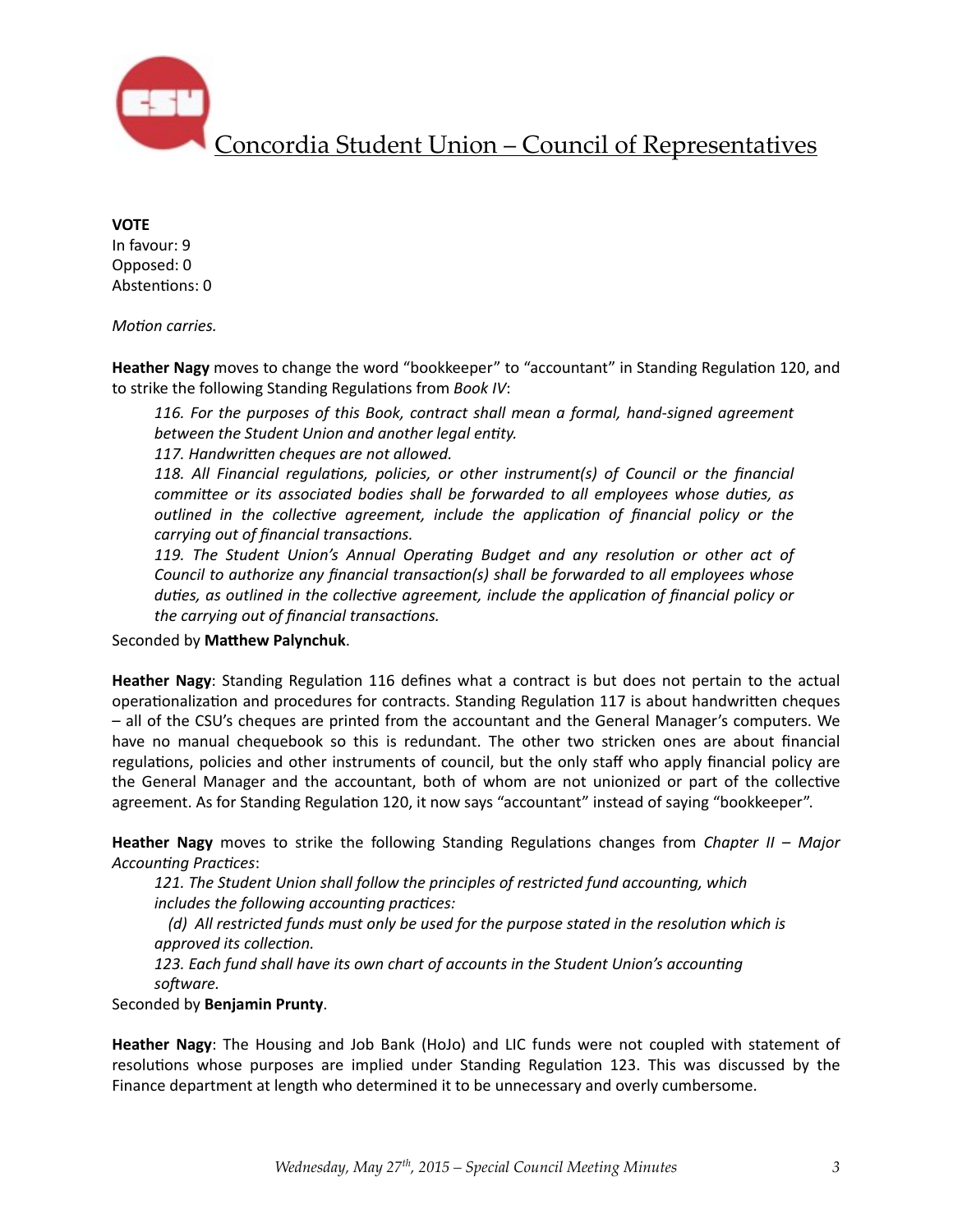

#### **VOTE**

In favour: 9 Opposed: 0 Abstentions: 0

*Motion carries.* 

**Heather Nagy** moves to change the word "bookkeeper" to "accountant" in Standing Regulation 120, and to strike the following Standing Regulations from *Book IV*:

116. For the purposes of this Book, contract shall mean a formal, hand-signed agreement between the Student Union and another legal entity.

117. Handwritten cheques are not allowed.

118. All Financial regulations, policies, or other instrument(s) of Council or the financial *committee or its associated bodies shall be forwarded to all employees whose duties, as outlined* in the collective agreement, include the application of financial policy or the *carrying out of financial transactions.* 

119. The Student Union's Annual Operating Budget and any resolution or other act of *Council* to *authorize any financial transaction(s)* shall be forwarded to all employees whose *duties, as outlined in the collective agreement, include the application of financial policy or the carrying out of financial transactions.* 

Seconded by Matthew Palynchuk.

**Heather Nagy**: Standing Regulation 116 defines what a contract is but does not pertain to the actual operationalization and procedures for contracts. Standing Regulation 117 is about handwritten cheques  $-$  all of the CSU's cheques are printed from the accountant and the General Manager's computers. We have no manual chequebook so this is redundant. The other two stricken ones are about financial regulations, policies and other instruments of council, but the only staff who apply financial policy are the General Manager and the accountant, both of whom are not unionized or part of the collective agreement. As for Standing Regulation 120, it now says "accountant" instead of saying "bookkeeper".

**Heather Nagy** moves to strike the following Standing Regulations changes from *Chapter II – Major* Accounting Practices:

121. The Student Union shall follow the principles of restricted fund accounting, which *includes the following accounting practices:* 

*(d)* All restricted funds must only be used for the purpose stated in the resolution which is *approved* its collection.

123. Each fund shall have its own chart of accounts in the Student Union's accounting *sofware.*

Seconded by **Benjamin Prunty**. 

**Heather Nagy**: The Housing and Job Bank (HoJo) and LIC funds were not coupled with statement of resolutions whose purposes are implied under Standing Regulation 123. This was discussed by the Finance department at length who determined it to be unnecessary and overly cumbersome.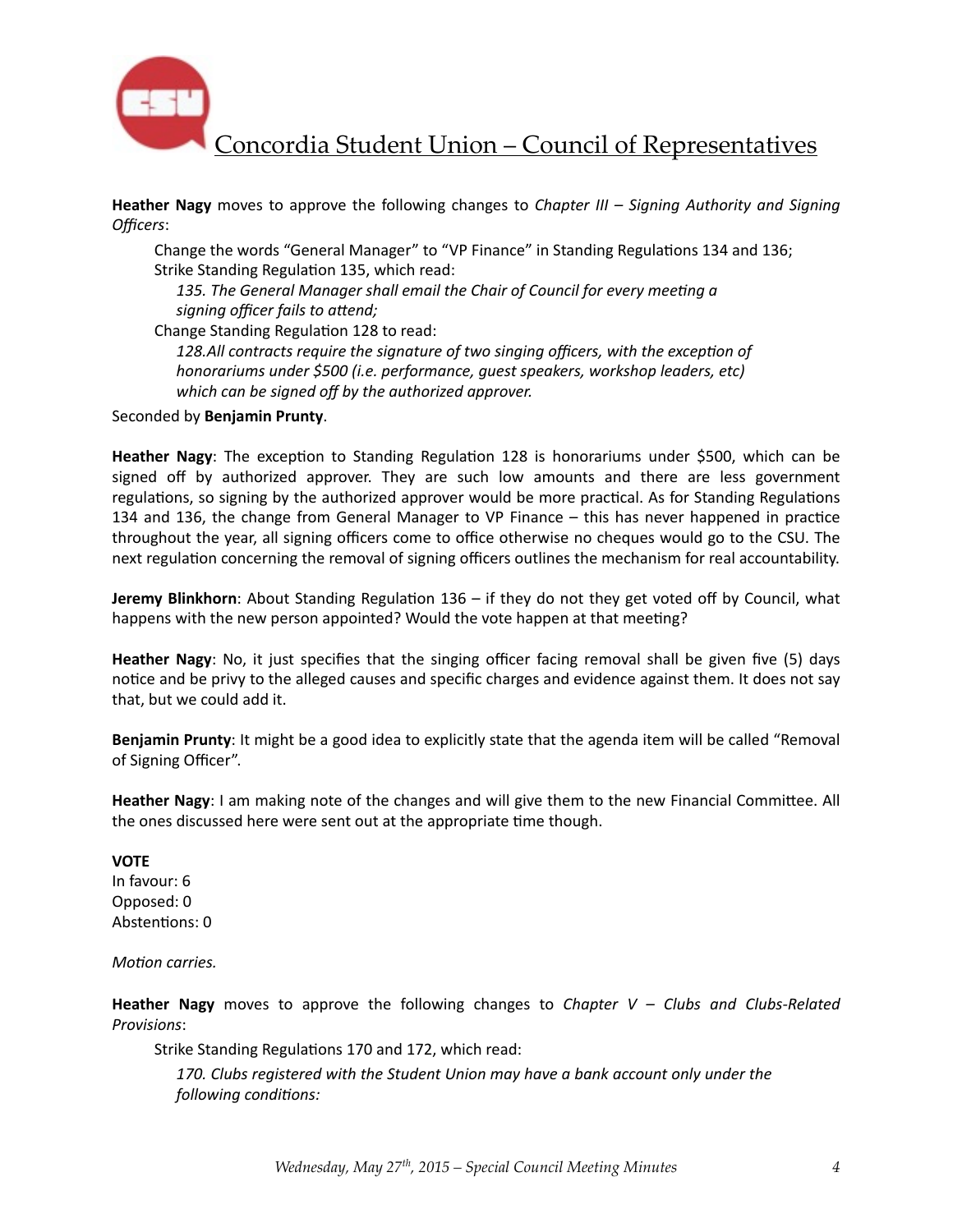

**Heather Nagy** moves to approve the following changes to *Chapter III* – *Signing Authority and Signing Officers*: 

Change the words "General Manager" to "VP Finance" in Standing Regulations 134 and 136; Strike Standing Regulation 135, which read:

135. The General Manager shall email the Chair of Council for every meeting a signing officer fails to attend;

Change Standing Regulation 128 to read:

128.All contracts require the signature of two singing officers, with the exception of *honorariums under* \$500 (*i.e. performance, quest speakers, workshop leaders, etc*) which can be signed off by the authorized approver.

Seconded by **Benjamin Prunty**.

**Heather Nagy**: The exception to Standing Regulation 128 is honorariums under \$500, which can be signed off by authorized approver. They are such low amounts and there are less government regulations, so signing by the authorized approver would be more practical. As for Standing Regulations 134 and 136, the change from General Manager to VP Finance  $-$  this has never happened in practice throughout the year, all signing officers come to office otherwise no cheques would go to the CSU. The next regulation concerning the removal of signing officers outlines the mechanism for real accountability.

**Jeremy Blinkhorn**: About Standing Regulation 136 – if they do not they get voted off by Council, what happens with the new person appointed? Would the vote happen at that meeting?

**Heather Nagy**: No, it just specifies that the singing officer facing removal shall be given five (5) days notice and be privy to the alleged causes and specific charges and evidence against them. It does not say that, but we could add it.

**Benjamin Prunty**: It might be a good idea to explicitly state that the agenda item will be called "Removal of Signing Officer".

**Heather Nagy**: I am making note of the changes and will give them to the new Financial Committee. All the ones discussed here were sent out at the appropriate time though.

**VOTE**  In favour: 6 Opposed: 0 Abstentions: 0

*Motion carries.* 

**Heather Nagy** moves to approve the following changes to *Chapter*  $V - Clubs$  and *Clubs-Related Provisions*: 

Strike Standing Regulations 170 and 172, which read:

*170. Clubs registered with the Student Union may have a bank account only under the following conditions:*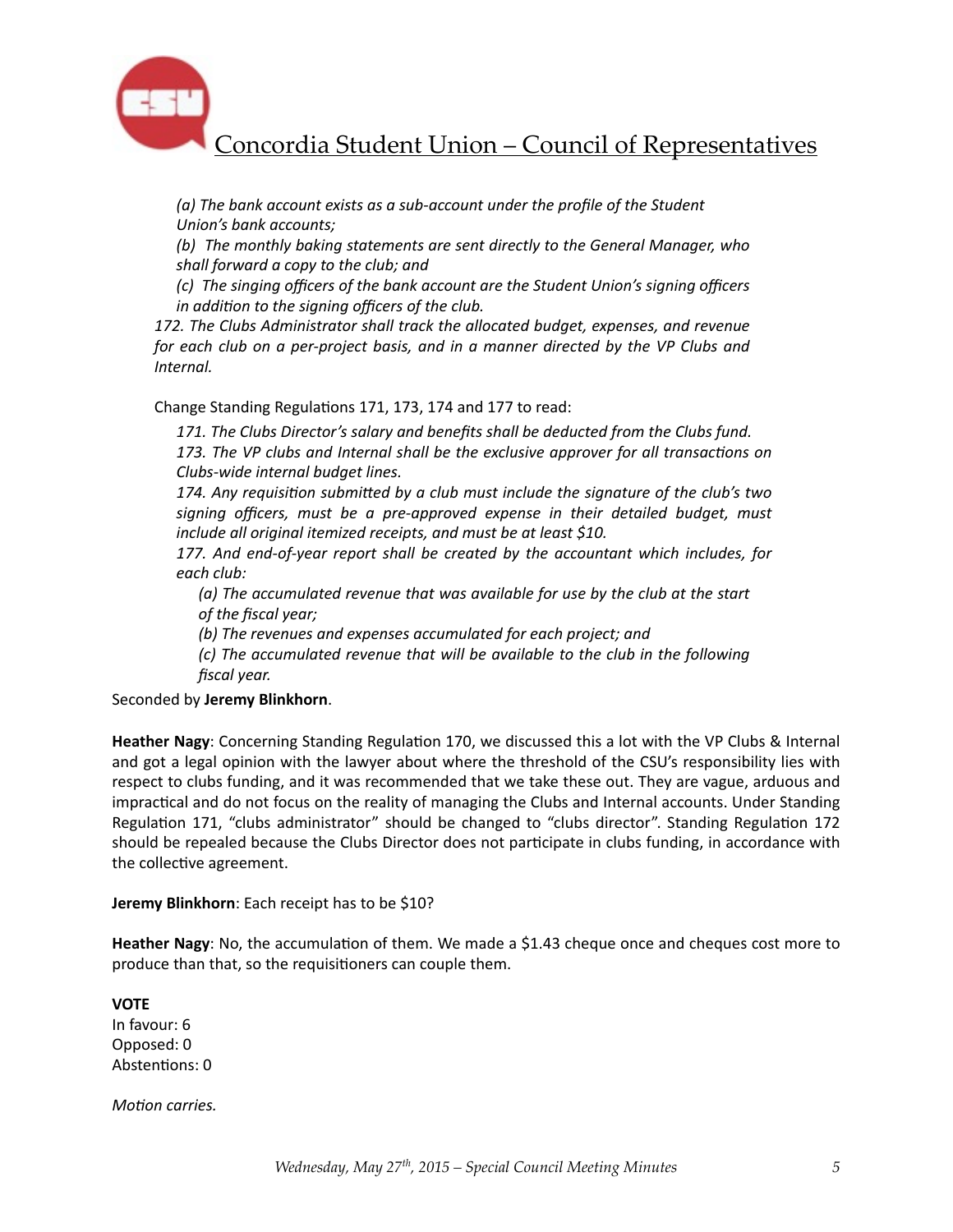

(a) The bank account exists as a sub-account under the profile of the Student *<u>Union's bank accounts;</u>* 

*(b)* The monthly baking statements are sent directly to the General Manager, who shall forward a copy to the club; and

*(c)* The singing officers of the bank account are the Student Union's signing officers *in addition to the signing officers of the club.* 

172. The Clubs Administrator shall track the allocated budget, expenses, and revenue *for* each club on a per-project basis, and in a manner directed by the VP Clubs and *Internal.* 

Change Standing Regulations 171, 173, 174 and 177 to read:

171. The Clubs Director's salary and benefits shall be deducted from the Clubs fund. 173. The VP clubs and Internal shall be the exclusive approver for all transactions on *Clubs-wide internal budget lines.* 

174. Any requisition submitted by a club must include the signature of the club's two signing officers, must be a pre-approved expense in their detailed budget, must *include all original itemized receipts, and must be at least \$10.* 

177. And end-of-year report shall be created by the accountant which includes, for *each club:* 

(a) The accumulated revenue that was available for use by the club at the start of the fiscal year;

(b) The revenues and expenses accumulated for each project; and

*(c)* The accumulated revenue that will be available to the club in the following *fiscal year.* 

Seconded by **Jeremy Blinkhorn**. 

**Heather Nagy**: Concerning Standing Regulation 170, we discussed this a lot with the VP Clubs & Internal and got a legal opinion with the lawyer about where the threshold of the CSU's responsibility lies with respect to clubs funding, and it was recommended that we take these out. They are vague, arduous and impractical and do not focus on the reality of managing the Clubs and Internal accounts. Under Standing Regulation 171, "clubs administrator" should be changed to "clubs director". Standing Regulation 172 should be repealed because the Clubs Director does not participate in clubs funding, in accordance with the collective agreement.

**Jeremy Blinkhorn:** Each receipt has to be \$10?

**Heather Nagy**: No, the accumulation of them. We made a \$1.43 cheque once and cheques cost more to produce than that, so the requisitioners can couple them.

### **VOTE**

In favour: 6 Opposed: 0 Abstentions: 0

*Motion carries.*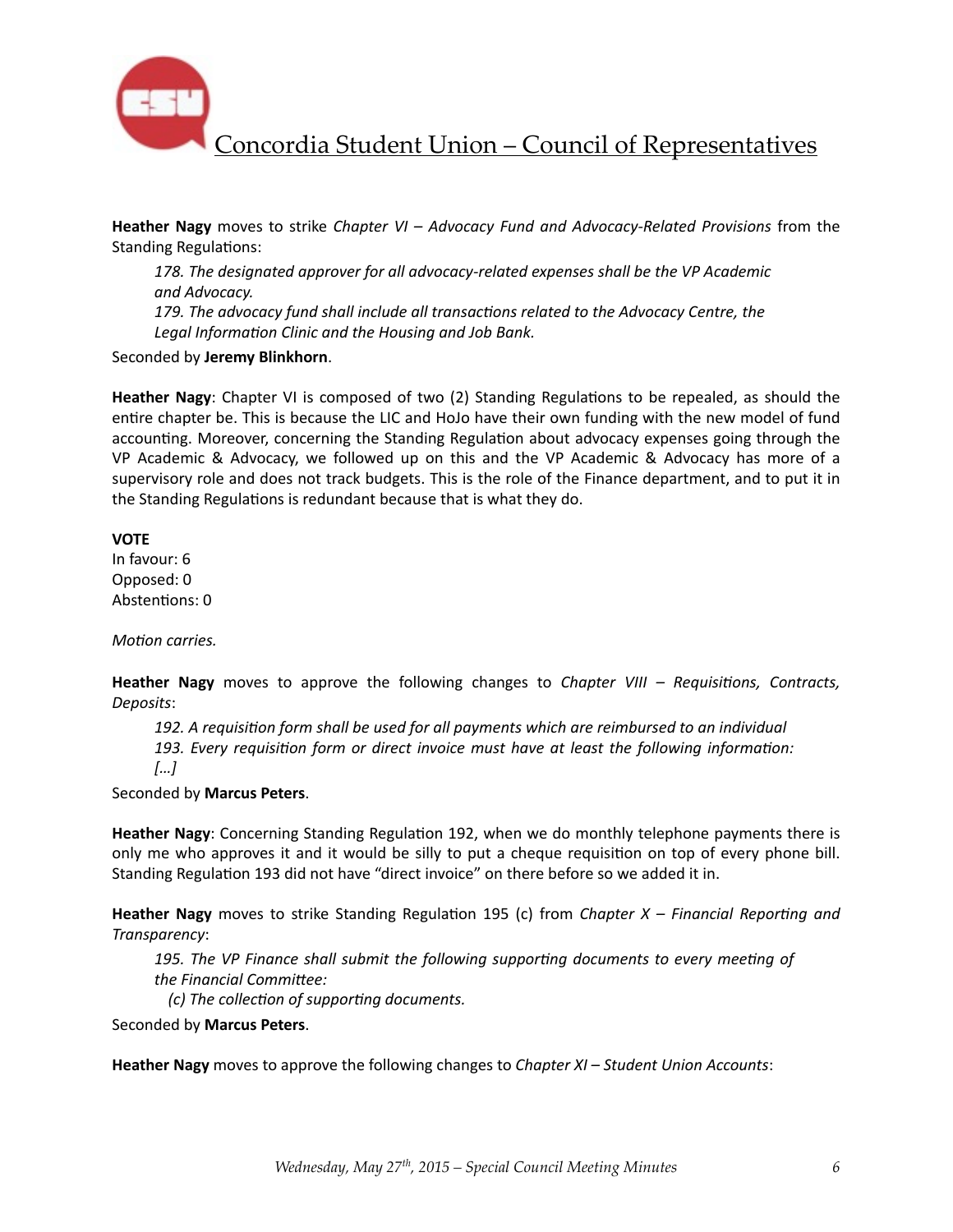

**Heather Nagy** moves to strike *Chapter VI – Advocacy Fund and Advocacy-Related Provisions* from the Standing Regulations:

178. The designated approver for all advocacy-related expenses shall be the VP Academic *and Advocacy.*  179. The advocacy fund shall include all transactions related to the Advocacy Centre, the Legal Information Clinic and the Housing and Job Bank.

Seconded by **Jeremy Blinkhorn**. 

**Heather Nagy**: Chapter VI is composed of two (2) Standing Regulations to be repealed, as should the entire chapter be. This is because the LIC and HoJo have their own funding with the new model of fund accounting. Moreover, concerning the Standing Regulation about advocacy expenses going through the VP Academic & Advocacy, we followed up on this and the VP Academic & Advocacy has more of a supervisory role and does not track budgets. This is the role of the Finance department, and to put it in the Standing Regulations is redundant because that is what they do.

**VOTE** 

In favour: 6 Opposed: 0 Abstentions: 0

*Motion carries.* 

**Heather Nagy** moves to approve the following changes to *Chapter VIII* – Requisitions, Contracts, *Deposits*: 

192. A requisition form shall be used for all payments which are reimbursed to an individual 193. Every requisition form or direct invoice must have at least the following information: *[…]* 

Seconded by **Marcus Peters**. 

**Heather Nagy:** Concerning Standing Regulation 192, when we do monthly telephone payments there is only me who approves it and it would be silly to put a cheque requisition on top of every phone bill. Standing Regulation 193 did not have "direct invoice" on there before so we added it in.

**Heather Nagy** moves to strike Standing Regulation 195 (c) from *Chapter X* – *Financial Reporting and Transparency*: 

195. The VP Finance shall submit the following supporting documents to every meeting of the Financial Committee:

*(c)* The collection of supporting documents.

Seconded by **Marcus Peters**. 

Heather Nagy moves to approve the following changes to *Chapter XI* – Student Union Accounts: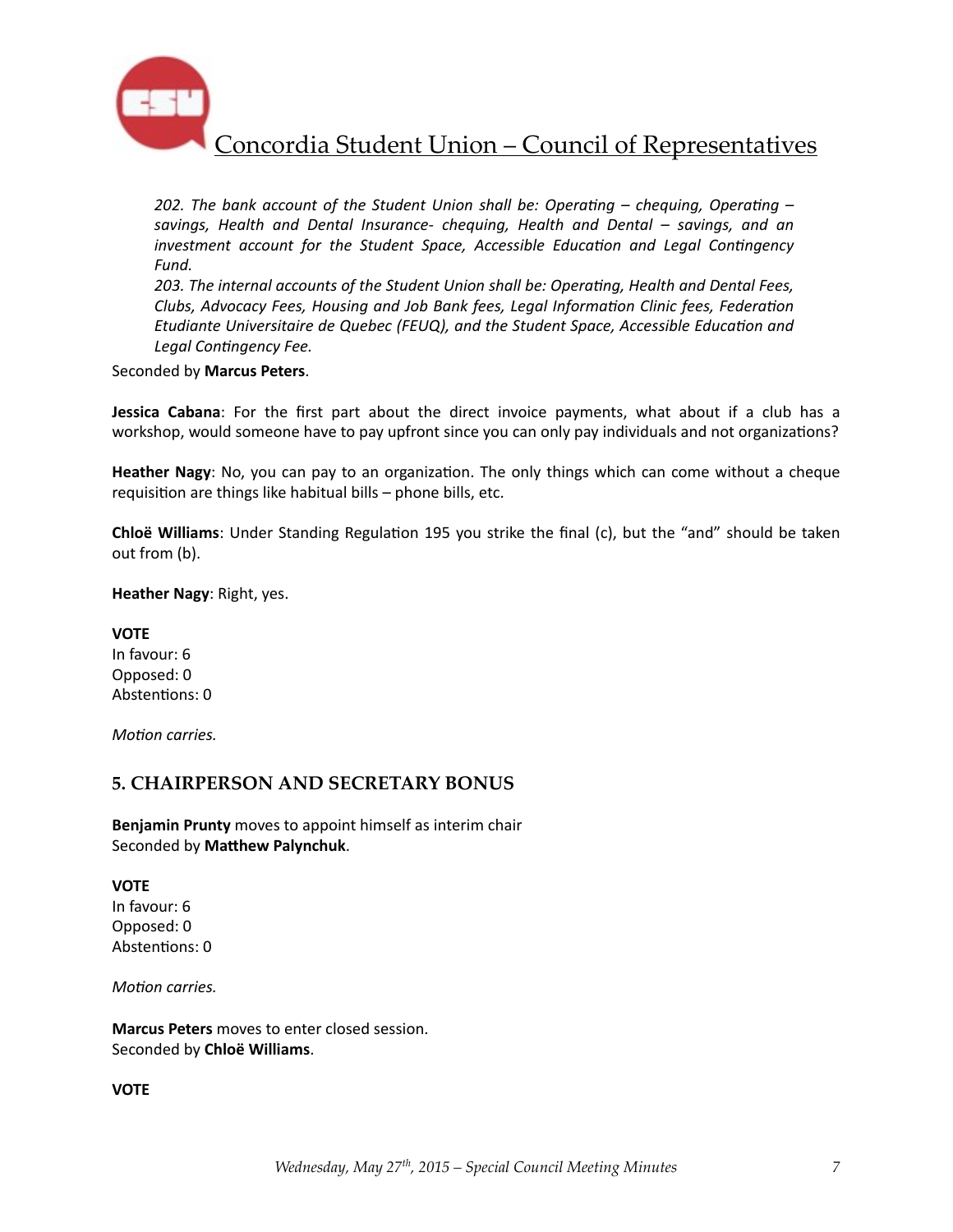![](_page_7_Picture_0.jpeg)

*202.* The bank account of the Student Union shall be: Operating – chequing, Operating – savings, Health and Dental Insurance- chequing, Health and Dental – savings, and an *investment account for the Student Space, Accessible Education and Legal Contingency Fund.* 

203. The internal accounts of the Student Union shall be: Operating, Health and Dental Fees, Clubs, Advocacy Fees, Housing and Job Bank fees, Legal Information Clinic fees, Federation *Etudiante Universitaire de Quebec (FEUQ), and the Student Space, Accessible Education and* Legal Contingency Fee.

#### Seconded by **Marcus Peters**.

**Jessica Cabana**: For the first part about the direct invoice payments, what about if a club has a workshop, would someone have to pay upfront since you can only pay individuals and not organizations?

**Heather Nagy**: No, you can pay to an organization. The only things which can come without a cheque requisition are things like habitual bills  $-$  phone bills, etc.

**Chloë Williams**: Under Standing Regulation 195 you strike the final (c), but the "and" should be taken out from (b).

**Heather Nagy: Right, yes.** 

**VOTE** In favour: 6 Opposed: 0 Abstentions: 0

*Motion carries.* 

## **5. CHAIRPERSON AND SECRETARY BONUS**

**Benjamin Prunty** moves to appoint himself as interim chair Seconded by Matthew Palynchuk.

#### **VOTE**

In favour: 6 Opposed: 0 Abstentions: 0

*Motion carries.* 

**Marcus Peters** moves to enter closed session. Seconded by **Chloë Williams**. 

**VOTE**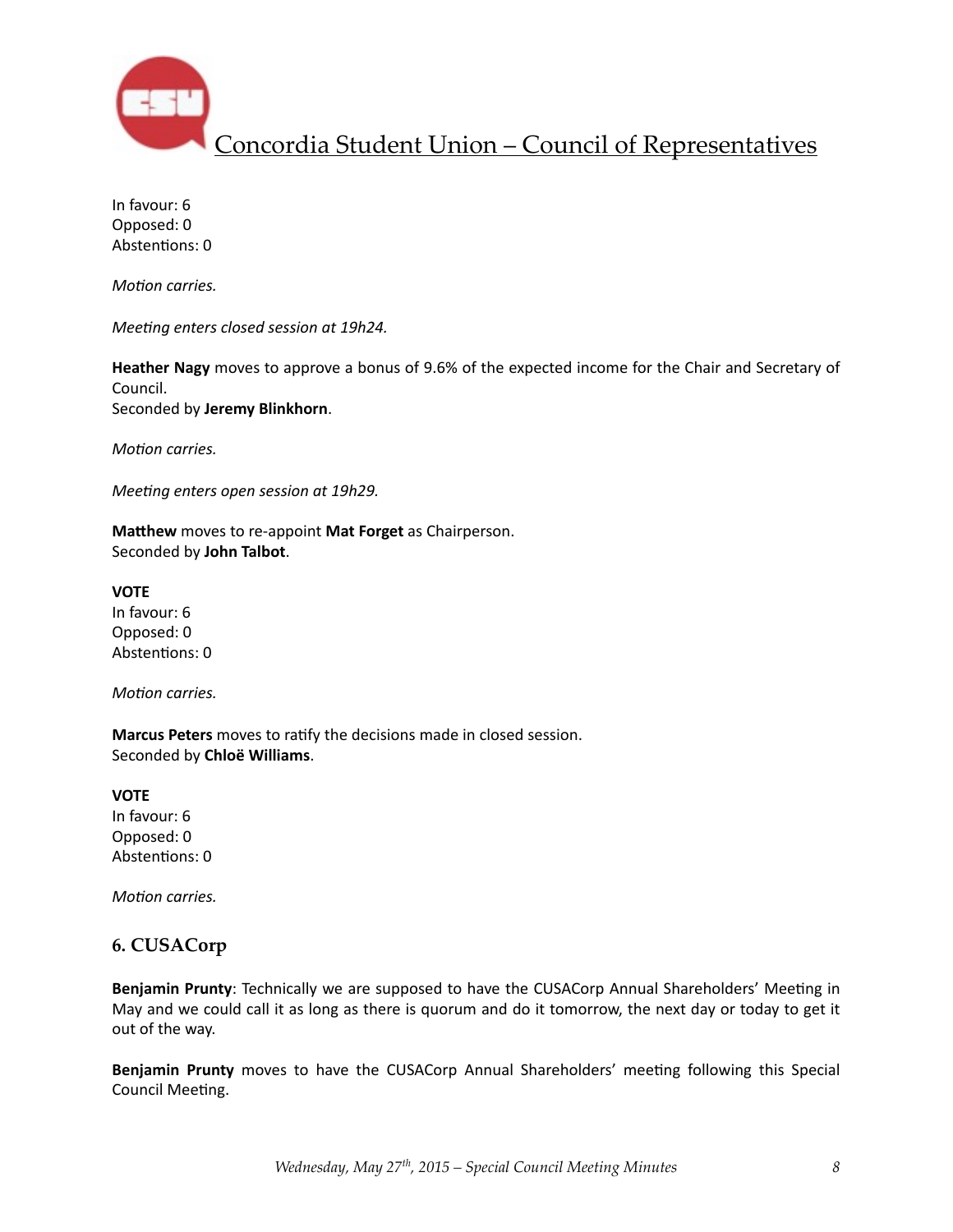![](_page_8_Picture_0.jpeg)

In favour: 6 Opposed: 0 Abstentions: 0

*Motion carries.* 

*Meeting enters closed session at 19h24.* 

**Heather Nagy** moves to approve a bonus of 9.6% of the expected income for the Chair and Secretary of Council. Seconded by **Jeremy Blinkhorn**.

*Motion carries.* 

*Meeting enters open session at 19h29.* 

**Matthew** moves to re-appoint Mat Forget as Chairperson. Seconded by **John Talbot**. 

**VOTE** In favour: 6 Opposed: 0 Abstentions: 0

*Motion carries.* 

**Marcus Peters** moves to ratify the decisions made in closed session. Seconded by **Chloë Williams**. 

**VOTE** In favour: 6 Opposed: 0 Abstentions: 0

*Motion carries.* 

### **6. CUSACorp**

**Benjamin Prunty**: Technically we are supposed to have the CUSACorp Annual Shareholders' Meeting in May and we could call it as long as there is quorum and do it tomorrow, the next day or today to get it out of the way.

Benjamin Prunty moves to have the CUSACorp Annual Shareholders' meeting following this Special Council Meeting.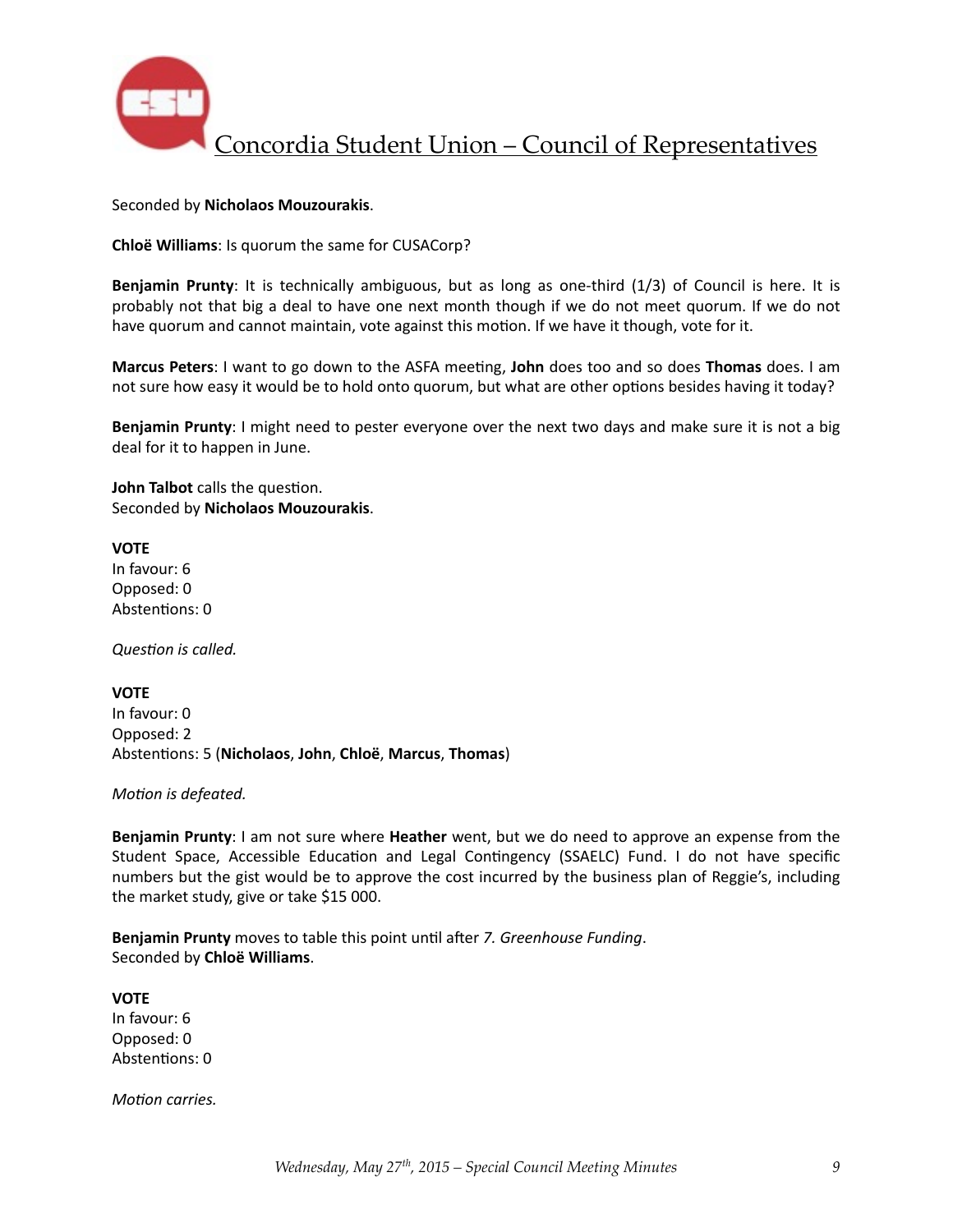![](_page_9_Picture_0.jpeg)

#### Seconded by **Nicholaos Mouzourakis**.

**Chloë Williams**: Is quorum the same for CUSACorp?

**Benjamin Prunty**: It is technically ambiguous, but as long as one-third (1/3) of Council is here. It is probably not that big a deal to have one next month though if we do not meet quorum. If we do not have quorum and cannot maintain, vote against this motion. If we have it though, vote for it.

**Marcus Peters**: I want to go down to the ASFA meeting, John does too and so does Thomas does. I am not sure how easy it would be to hold onto quorum, but what are other options besides having it today?

**Benjamin Prunty**: I might need to pester everyone over the next two days and make sure it is not a big deal for it to happen in June.

**John Talbot** calls the question. Seconded by **Nicholaos Mouzourakis**. 

**VOTE**

In favour: 6 Opposed: 0 Abstentions: 0

**Question** is called.

**VOTE** In favour: 0 Opposed: 2 Absten%ons: 5 (**Nicholaos**, **John**, **Chloë**, **Marcus**, **Thomas**)

*Motion* is defeated.

**Benjamin Prunty**: I am not sure where **Heather** went, but we do need to approve an expense from the Student Space, Accessible Education and Legal Contingency (SSAELC) Fund. I do not have specific numbers but the gist would be to approve the cost incurred by the business plan of Reggie's, including the market study, give or take \$15 000.

**Benjamin Prunty** moves to table this point until after 7. Greenhouse Funding. Seconded by **Chloë Williams**. 

**VOTE** In favour: 6 Opposed: 0 Abstentions: 0

*Motion carries.*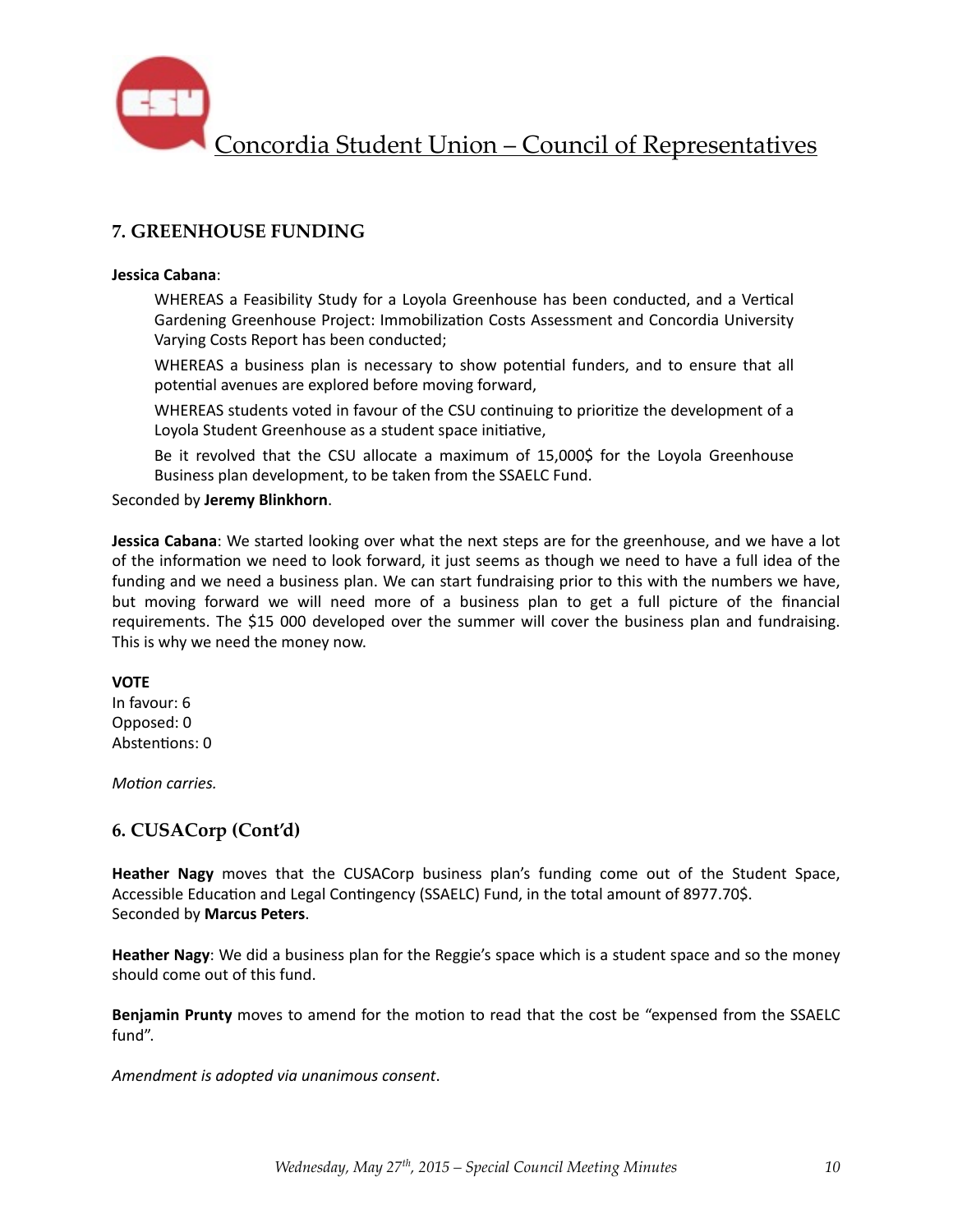![](_page_10_Picture_0.jpeg)

## **7. GREENHOUSE FUNDING**

#### **Jessica Cabana**:

WHEREAS a Feasibility Study for a Loyola Greenhouse has been conducted, and a Vertical Gardening Greenhouse Project: Immobilization Costs Assessment and Concordia University Varying Costs Report has been conducted;

WHEREAS a business plan is necessary to show potential funders, and to ensure that all potential avenues are explored before moving forward,

WHEREAS students voted in favour of the CSU continuing to prioritize the development of a Loyola Student Greenhouse as a student space initiative,

Be it revolved that the CSU allocate a maximum of 15,000\$ for the Loyola Greenhouse Business plan development, to be taken from the SSAELC Fund.

Seconded by **Jeremy Blinkhorn**. 

**Jessica Cabana**: We started looking over what the next steps are for the greenhouse, and we have a lot of the information we need to look forward, it just seems as though we need to have a full idea of the funding and we need a business plan. We can start fundraising prior to this with the numbers we have, but moving forward we will need more of a business plan to get a full picture of the financial requirements. The \$15 000 developed over the summer will cover the business plan and fundraising. This is why we need the money now.

#### **VOTE**

In favour: 6 Opposed: 0 Abstentions: 0

*Motion carries.* 

## **6. CUSACorp (Cont'd)**

**Heather Nagy** moves that the CUSACorp business plan's funding come out of the Student Space, Accessible Education and Legal Contingency (SSAELC) Fund, in the total amount of 8977.70\$. Seconded by **Marcus Peters**. 

**Heather Nagy**: We did a business plan for the Reggie's space which is a student space and so the money should come out of this fund.

**Benjamin Prunty** moves to amend for the motion to read that the cost be "expensed from the SSAELC fund". 

Amendment is adopted via unanimous consent.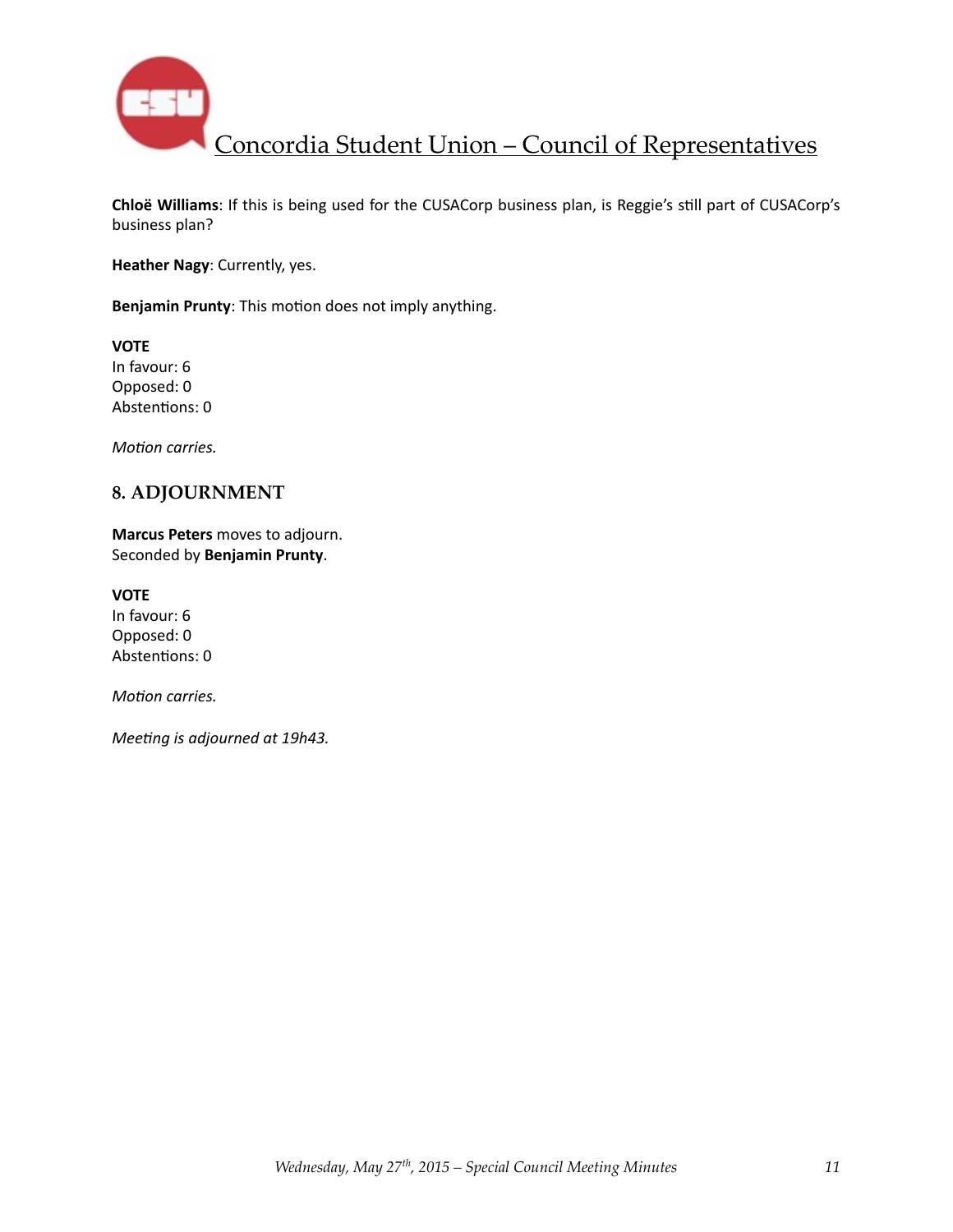![](_page_11_Picture_0.jpeg)

**Chloë Williams**: If this is being used for the CUSACorp business plan, is Reggie's still part of CUSACorp's business plan?

**Heather Nagy: Currently, yes.** 

**Benjamin Prunty**: This motion does not imply anything.

**VOTE** In favour: 6 Opposed: 0 Abstentions: 0

*Motion carries.* 

## **8. ADJOURNMENT**

**Marcus Peters** moves to adjourn. Seconded by **Benjamin Prunty**. 

**VOTE** In favour: 6 Opposed: 0 Abstentions: 0

*Motion carries.* 

*Meeting is adjourned at 19h43.*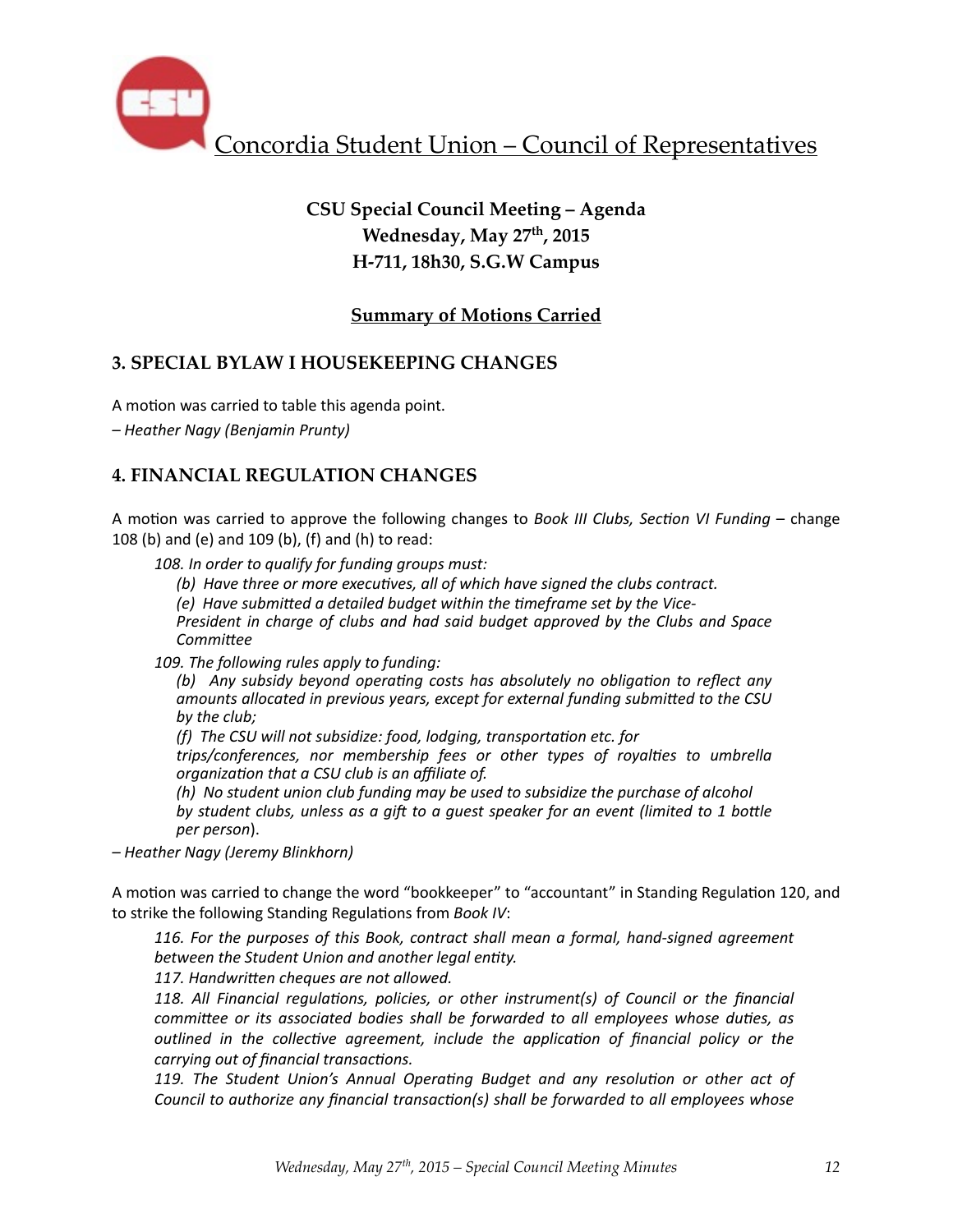![](_page_12_Picture_0.jpeg)

# **CSU Special Council Meeting – Agenda Wednesday, May 27th, 2015 H-711, 18h30, S.G.W Campus**

## **Summary of Motions Carried**

## **3. SPECIAL BYLAW I HOUSEKEEPING CHANGES**

A motion was carried to table this agenda point.

*– Heather Nagy (Benjamin Prunty)* 

## **4. FINANCIAL REGULATION CHANGES**

A motion was carried to approve the following changes to *Book III Clubs, Section VI Funding* – change 108 $(b)$  and  $(e)$  and 109 $(b)$ ,  $(f)$  and  $(h)$  to read:

108. In order to qualify for funding groups must:

(b) Have three or more executives, all of which have signed the clubs contract.

*(e)* Have submitted a detailed budget within the timeframe set by the Vice-

*President in charge of clubs and had said budget approved by the Clubs and Space CommiRee*

109. The following rules apply to funding:

*(b)* Any subsidy beyond operating costs has absolutely no obligation to reflect any amounts allocated in previous years, except for external funding submitted to the CSU by the club;

*(f)* The CSU will not subsidize: food, lodging, transportation etc. for

*trips/conferences, nor membership fees or other types of royalties to umbrella organization that a CSU club is an affiliate of.* 

*(h)* No student union club funding may be used to subsidize the purchase of alcohol *by* student clubs, unless as a gift to a guest speaker for an event (limited to 1 bottle *per person*). 

*– Heather Nagy (Jeremy Blinkhorn)* 

A motion was carried to change the word "bookkeeper" to "accountant" in Standing Regulation 120, and to strike the following Standing Regulations from *Book IV*:

116. For the purposes of this Book, contract shall mean a formal, hand-signed agreement between the Student Union and another legal entity.

117. Handwritten cheques are not allowed.

118. All Financial regulations, policies, or other instrument(s) of Council or the financial *committee or its associated bodies shall be forwarded to all employees whose duties, as outlined* in the collective agreement, include the application of financial policy or the *carrying out of financial transactions.* 

119. The Student Union's Annual Operating Budget and any resolution or other act of *Council* to *authorize any financial transaction(s)* shall be forwarded to all employees whose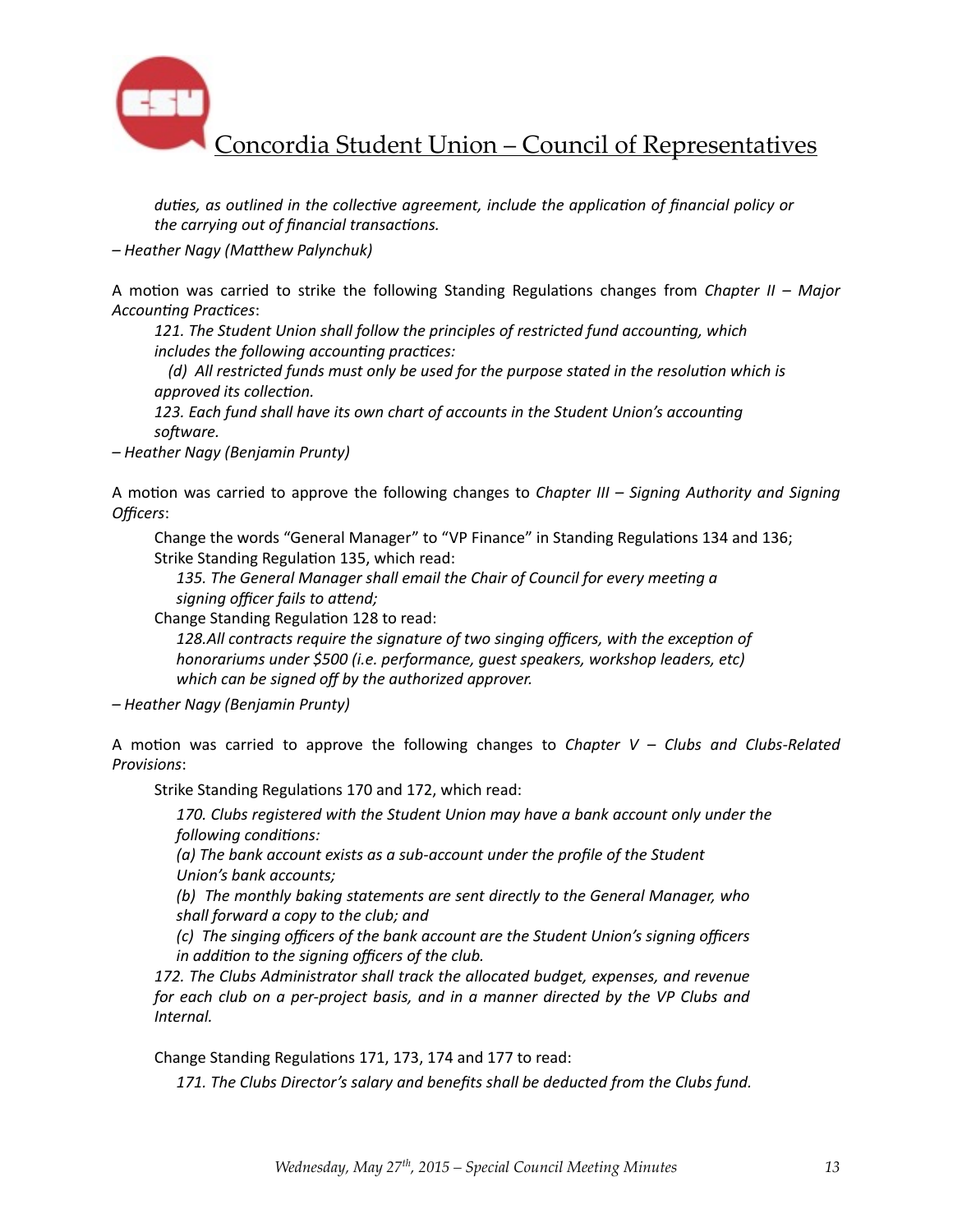![](_page_13_Picture_0.jpeg)

*duties, as outlined in the collective agreement, include the application of financial policy or the carrying out of financial transactions.* 

 $-$  *Heather Nagy (Matthew Palynchuk)* 

A motion was carried to strike the following Standing Regulations changes from *Chapter II – Major* Accounting Practices:

121. The Student Union shall follow the principles of restricted fund accounting, which includes the following accounting practices:

*(d)* All restricted funds must only be used for the purpose stated in the resolution which is *approved* its collection.

123. Each fund shall have its own chart of accounts in the Student Union's accounting *sofware.*

*– Heather Nagy (Benjamin Prunty)* 

A motion was carried to approve the following changes to *Chapter III* – *Signing Authority and Signing Officers*: 

Change the words "General Manager" to "VP Finance" in Standing Regulations 134 and 136; Strike Standing Regulation 135, which read:

135. The General Manager shall email the Chair of Council for every meeting a signing officer fails to attend;

Change Standing Regulation 128 to read:

128.All contracts require the signature of two singing officers, with the exception of *honorariums under \$500 (i.e. performance, quest speakers, workshop leaders, etc)* which can be signed off by the authorized approver.

*– Heather Nagy (Benjamin Prunty)* 

A motion was carried to approve the following changes to *Chapter V – Clubs and Clubs-Related Provisions*: 

Strike Standing Regulations 170 and 172, which read:

170. Clubs registered with the Student Union may have a bank account only under the *following conditions:* 

(a) The bank account exists as a sub-account under the profile of the Student *<u>Union's bank accounts:</u>* 

*(b)* The monthly baking statements are sent directly to the General Manager, who shall forward a copy to the club; and

*(c)* The singing officers of the bank account are the Student Union's signing officers *in addition to the signing officers of the club.* 

172. The Clubs Administrator shall track the allocated budget, expenses, and revenue *for* each club on a per-project basis, and in a manner directed by the VP Clubs and *Internal.* 

Change Standing Regulations 171, 173, 174 and 177 to read:

171. The Clubs Director's salary and benefits shall be deducted from the Clubs fund.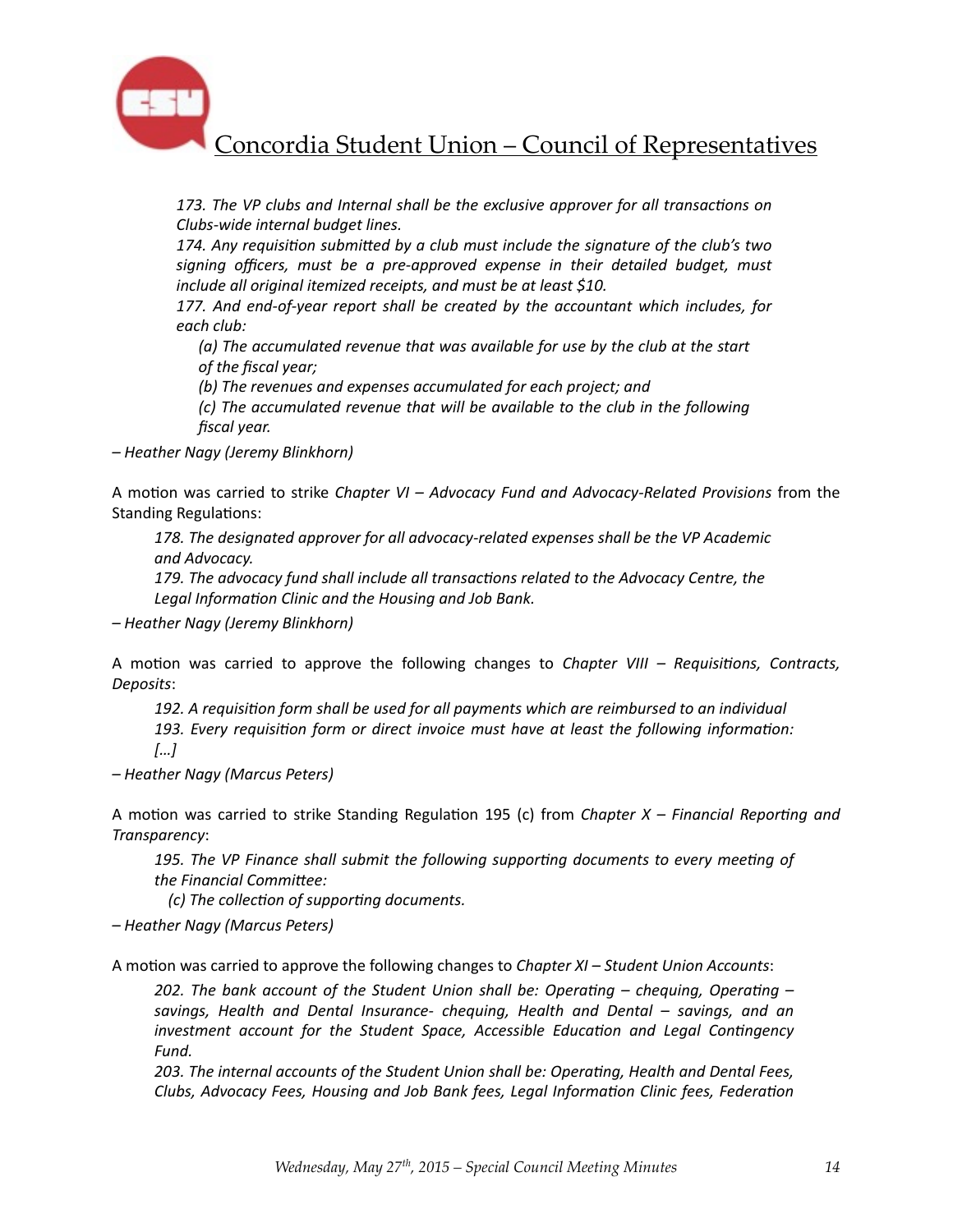![](_page_14_Picture_0.jpeg)

173. The VP clubs and Internal shall be the exclusive approver for all transactions on *Clubs-wide internal budget lines.* 

174. Any requisition submitted by a club must include the signature of the club's two signing officers, must be a pre-approved expense in their detailed budget, must *include all original itemized receipts, and must be at least \$10.* 

177. And end-of-year report shall be created by the accountant which includes, for *each club:* 

(a) The accumulated revenue that was available for use by the club at the start of the fiscal year;

(b) The revenues and expenses accumulated for each project; and

*(c)* The accumulated revenue that will be available to the club in the following *fiscal year.* 

*– Heather Nagy (Jeremy Blinkhorn)* 

A motion was carried to strike *Chapter VI - Advocacy Fund and Advocacy-Related Provisions* from the Standing Regulations:

178. The designated approver for all advocacy-related expenses shall be the VP Academic *and Advocacy.* 

179. The advocacy fund shall include all transactions related to the Advocacy Centre, the Legal Information Clinic and the Housing and Job Bank.

*– Heather Nagy (Jeremy Blinkhorn)* 

A motion was carried to approve the following changes to *Chapter VIII* – *Requisitions, Contracts, Deposits*: 

192. A requisition form shall be used for all payments which are reimbursed to an individual 193. Every requisition form or direct invoice must have at least the following information: *[…]* 

*– Heather Nagy (Marcus Peters)* 

A motion was carried to strike Standing Regulation 195 (c) from *Chapter X* – *Financial Reporting and Transparency*: 

195. The VP Finance shall submit the following supporting documents to every meeting of the Financial Committee:

*(c)* The collection of supporting documents.

*– Heather Nagy (Marcus Peters)* 

A motion was carried to approve the following changes to *Chapter XI* – Student Union Accounts:

*202. The bank account of the Student Union shall be: Operating – chequing, Operating –* savings, Health and Dental Insurance- chequing, Health and Dental – savings, and an *investment account for the Student Space, Accessible Education and Legal Contingency Fund.* 

203. The internal accounts of the Student Union shall be: Operating, Health and Dental Fees, Clubs, Advocacy Fees, Housing and Job Bank fees, Legal Information Clinic fees, Federation